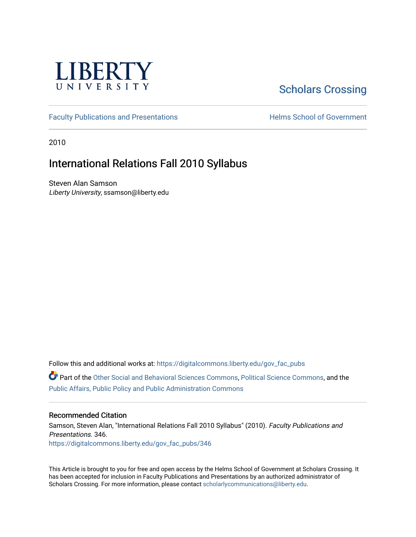

# [Scholars Crossing](https://digitalcommons.liberty.edu/)

[Faculty Publications and Presentations](https://digitalcommons.liberty.edu/gov_fac_pubs) **Exercise School of Government** 

2010

# International Relations Fall 2010 Syllabus

Steven Alan Samson Liberty University, ssamson@liberty.edu

Follow this and additional works at: [https://digitalcommons.liberty.edu/gov\\_fac\\_pubs](https://digitalcommons.liberty.edu/gov_fac_pubs?utm_source=digitalcommons.liberty.edu%2Fgov_fac_pubs%2F346&utm_medium=PDF&utm_campaign=PDFCoverPages)

Part of the [Other Social and Behavioral Sciences Commons](http://network.bepress.com/hgg/discipline/437?utm_source=digitalcommons.liberty.edu%2Fgov_fac_pubs%2F346&utm_medium=PDF&utm_campaign=PDFCoverPages), [Political Science Commons](http://network.bepress.com/hgg/discipline/386?utm_source=digitalcommons.liberty.edu%2Fgov_fac_pubs%2F346&utm_medium=PDF&utm_campaign=PDFCoverPages), and the [Public Affairs, Public Policy and Public Administration Commons](http://network.bepress.com/hgg/discipline/393?utm_source=digitalcommons.liberty.edu%2Fgov_fac_pubs%2F346&utm_medium=PDF&utm_campaign=PDFCoverPages)

# Recommended Citation

Samson, Steven Alan, "International Relations Fall 2010 Syllabus" (2010). Faculty Publications and Presentations. 346. [https://digitalcommons.liberty.edu/gov\\_fac\\_pubs/346](https://digitalcommons.liberty.edu/gov_fac_pubs/346?utm_source=digitalcommons.liberty.edu%2Fgov_fac_pubs%2F346&utm_medium=PDF&utm_campaign=PDFCoverPages)

This Article is brought to you for free and open access by the Helms School of Government at Scholars Crossing. It has been accepted for inclusion in Faculty Publications and Presentations by an authorized administrator of Scholars Crossing. For more information, please contact [scholarlycommunications@liberty.edu.](mailto:scholarlycommunications@liberty.edu)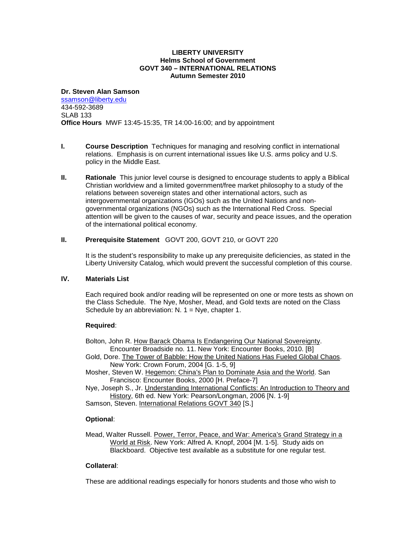### **LIBERTY UNIVERSITY Helms School of Government GOVT 340 – INTERNATIONAL RELATIONS Autumn Semester 2010**

**Dr. Steven Alan Samson** [ssamson@liberty.edu](mailto:ssamson@liberty.edu) 434-592-3689 SLAB 133 **Office Hours** MWF 13:45-15:35, TR 14:00-16:00; and by appointment

- **I. Course Description** Techniques for managing and resolving conflict in international relations. Emphasis is on current international issues like U.S. arms policy and U.S. policy in the Middle East.
- **II. Rationale** This junior level course is designed to encourage students to apply a Biblical Christian worldview and a limited government/free market philosophy to a study of the relations between sovereign states and other international actors, such as intergovernmental organizations (IGOs) such as the United Nations and nongovernmental organizations (NGOs) such as the International Red Cross. Special attention will be given to the causes of war, security and peace issues, and the operation of the international political economy.

# **II. Prerequisite Statement** GOVT 200, GOVT 210, or GOVT 220

It is the student's responsibility to make up any prerequisite deficiencies, as stated in the Liberty University Catalog, which would prevent the successful completion of this course.

# **IV. Materials List**

Each required book and/or reading will be represented on one or more tests as shown on the Class Schedule. The Nye, Mosher, Mead, and Gold texts are noted on the Class Schedule by an abbreviation:  $N. 1 = Nye$ , chapter 1.

## **Required**:

Bolton, John R. How Barack Obama Is Endangering Our National Sovereignty. Encounter Broadside no. 11. New York: Encounter Books, 2010. [B]

- Gold, Dore. The Tower of Babble: How the United Nations Has Fueled Global Chaos. New York: Crown Forum, 2004 [G. 1-5, 9]
- Mosher, Steven W. Hegemon: China's Plan to Dominate Asia and the World. San Francisco: Encounter Books, 2000 [H. Preface-7]

Nye, Joseph S., Jr. Understanding International Conflicts: An Introduction to Theory and History, 6th ed. New York: Pearson/Longman, 2006 [N. 1-9]

Samson, Steven. International Relations GOVT 340 [S.]

# **Optional**:

Mead, Walter Russell. Power, Terror, Peace, and War: America's Grand Strategy in a World at Risk. New York: Alfred A. Knopf, 2004 [M. 1-5]. Study aids on Blackboard. Objective test available as a substitute for one regular test.

# **Collateral**:

These are additional readings especially for honors students and those who wish to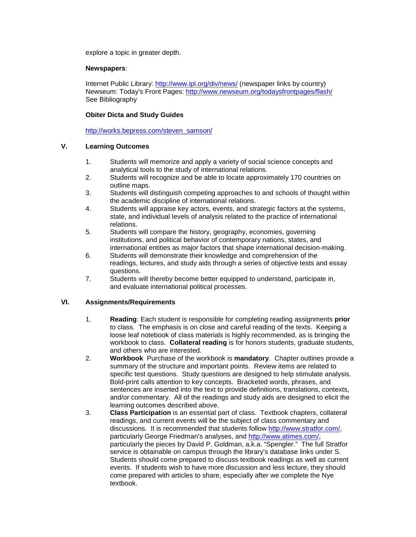explore a topic in greater depth.

## **Newspapers**:

Internet Public Library:<http://www.ipl.org/div/news/> (newspaper links by country) Newseum: Today's Front Pages: <http://www.newseum.org/todaysfrontpages/flash/> See Bibliography

# **Obiter Dicta and Study Guides**

[http://works.bepress.com/steven\\_samson/](http://works.bepress.com/steven_samson/)

# **V. Learning Outcomes**

- 1. Students will memorize and apply a variety of social science concepts and analytical tools to the study of international relations.
- 2. Students will recognize and be able to locate approximately 170 countries on outline maps.
- 3. Students will distinguish competing approaches to and schools of thought within the academic discipline of international relations.
- 4. Students will appraise key actors, events, and strategic factors at the systems, state, and individual levels of analysis related to the practice of international relations.
- 5. Students will compare the history, geography, economies, governing institutions, and political behavior of contemporary nations, states, and international entities as major factors that shape international decision-making.
- 6. Students will demonstrate their knowledge and comprehension of the readings, lectures, and study aids through a series of objective tests and essay questions.
- 7. Students will thereby become better equipped to understand, participate in, and evaluate international political processes.

# **VI. Assignments/Requirements**

- 1. **Reading**: Each student is responsible for completing reading assignments **prior** to class. The emphasis is on close and careful reading of the texts. Keeping a loose leaf notebook of class materials is highly recommended, as is bringing the workbook to class. **Collateral reading** is for honors students, graduate students, and others who are interested.
- 2. **Workbook** Purchase of the workbook is **mandatory**. Chapter outlines provide a summary of the structure and important points. Review items are related to specific test questions. Study questions are designed to help stimulate analysis. Bold-print calls attention to key concepts. Bracketed words, phrases, and sentences are inserted into the text to provide definitions, translations, contexts, and/or commentary. All of the readings and study aids are designed to elicit the learning outcomes described above.
- 3. **Class Participation** is an essential part of class. Textbook chapters, collateral readings, and current events will be the subject of class commentary and discussions. It is recommended that students follow [http://www.stratfor.com/,](http://www.stratfor.com/) particularly George Friedman's analyses, and [http://www.atimes.com/,](http://www.atimes.com/) particularly the pieces by David P. Goldman, a.k.a. "Spengler." The full Stratfor service is obtainable on campus through the library's database links under S. Students should come prepared to discuss textbook readings as well as current events. If students wish to have more discussion and less lecture, they should come prepared with articles to share, especially after we complete the Nye textbook.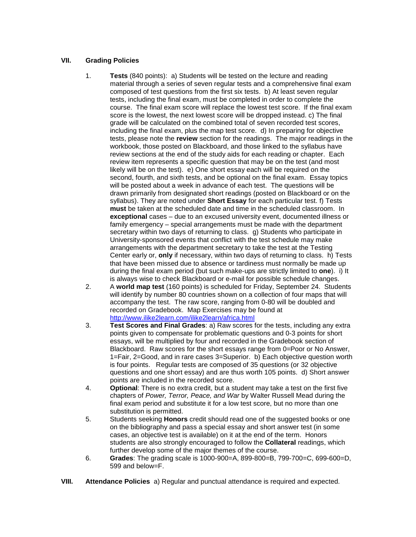# **VII. Grading Policies**

- 1. **Tests** (840 points): a) Students will be tested on the lecture and reading material through a series of seven regular tests and a comprehensive final exam composed of test questions from the first six tests. b) At least seven regular tests, including the final exam, must be completed in order to complete the course. The final exam score will replace the lowest test score. If the final exam score is the lowest, the next lowest score will be dropped instead. c) The final grade will be calculated on the combined total of seven recorded test scores, including the final exam, plus the map test score. d) In preparing for objective tests, please note the **review** section for the readings. The major readings in the workbook, those posted on Blackboard, and those linked to the syllabus have review sections at the end of the study aids for each reading or chapter. Each review item represents a specific question that may be on the test (and most likely will be on the test). e) One short essay each will be required on the second, fourth, and sixth tests, and be optional on the final exam. Essay topics will be posted about a week in advance of each test. The questions will be drawn primarily from designated short readings (posted on Blackboard or on the syllabus). They are noted under **Short Essay** for each particular test. f) Tests **must** be taken at the scheduled date and time in the scheduled classroom. In **exceptional** cases – due to an excused university event, documented illness or family emergency – special arrangements must be made with the department secretary within two days of returning to class. g) Students who participate in University-sponsored events that conflict with the test schedule may make arrangements with the department secretary to take the test at the Testing Center early or, **only** if necessary, within two days of returning to class. h) Tests that have been missed due to absence or tardiness must normally be made up during the final exam period (but such make-ups are strictly limited to **one**). i) It is always wise to check Blackboard or e-mail for possible schedule changes.
- 2. A **world map test** (160 points) is scheduled for Friday, September 24. Students will identify by number 80 countries shown on a collection of four maps that will accompany the test. The raw score, ranging from 0-80 will be doubled and recorded on Gradebook. Map Exercises may be found at <http://www.ilike2learn.com/ilike2learn/africa.html>
- 3. **Test Scores and Final Grades**: a) Raw scores for the tests, including any extra points given to compensate for problematic questions and 0-3 points for short essays, will be multiplied by four and recorded in the Gradebook section of Blackboard. Raw scores for the short essays range from 0=Poor or No Answer, 1=Fair, 2=Good, and in rare cases 3=Superior. b) Each objective question worth is four points. Regular tests are composed of 35 questions (or 32 objective questions and one short essay) and are thus worth 105 points. d) Short answer points are included in the recorded score.
- 4. **Optional**: There is no extra credit, but a student may take a test on the first five chapters of *Power, Terror, Peace, and War* by Walter Russell Mead during the final exam period and substitute it for a low test score, but no more than one substitution is permitted.
- 5. Students seeking **Honors** credit should read one of the suggested books or one on the bibliography and pass a special essay and short answer test (in some cases, an objective test is available) on it at the end of the term. Honors students are also strongly encouraged to follow the **Collateral** readings, which further develop some of the major themes of the course.
- 6. **Grades**: The grading scale is 1000-900=A, 899-800=B, 799-700=C, 699-600=D, 599 and below=F.
- **VIII. Attendance Policies** a) Regular and punctual attendance is required and expected.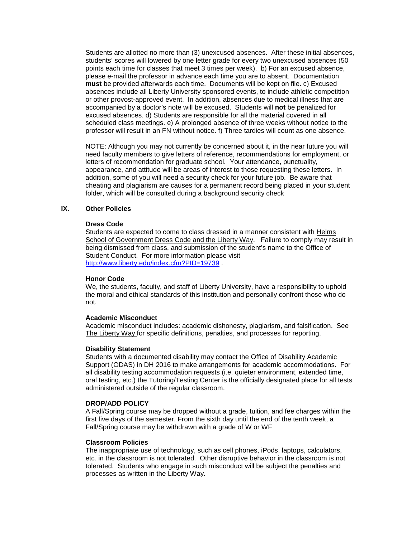Students are allotted no more than (3) unexcused absences. After these initial absences, students' scores will lowered by one letter grade for every two unexcused absences (50 points each time for classes that meet 3 times per week). b) For an excused absence, please e-mail the professor in advance each time you are to absent. Documentation **must** be provided afterwards each time. Documents will be kept on file. c) Excused absences include all Liberty University sponsored events, to include athletic competition or other provost-approved event. In addition, absences due to medical illness that are accompanied by a doctor's note will be excused. Students will **not** be penalized for excused absences. d) Students are responsible for all the material covered in all scheduled class meetings. e) A prolonged absence of three weeks without notice to the professor will result in an FN without notice. f) Three tardies will count as one absence.

NOTE: Although you may not currently be concerned about it, in the near future you will need faculty members to give letters of reference, recommendations for employment, or letters of recommendation for graduate school. Your attendance, punctuality, appearance, and attitude will be areas of interest to those requesting these letters. In addition, some of you will need a security check for your future job. Be aware that cheating and plagiarism are causes for a permanent record being placed in your student folder, which will be consulted during a background security check

## **IX. Other Policies**

#### **Dress Code**

Students are expected to come to class dressed in a manner consistent with Helms School of Government Dress Code and the Liberty Way. Failure to comply may result in being dismissed from class, and submission of the student's name to the Office of Student Conduct. For more information please visit <http://www.liberty.edu/index.cfm?PID=19739> .

#### **Honor Code**

We, the students, faculty, and staff of Liberty University, have a responsibility to uphold the moral and ethical standards of this institution and personally confront those who do not.

#### **Academic Misconduct**

Academic misconduct includes: academic dishonesty, plagiarism, and falsification. See The Liberty Way for specific definitions, penalties, and processes for reporting.

## **Disability Statement**

Students with a documented disability may contact the Office of Disability Academic Support (ODAS) in DH 2016 to make arrangements for academic accommodations. For all disability testing accommodation requests (i.e. quieter environment, extended time, oral testing, etc.) the Tutoring/Testing Center is the officially designated place for all tests administered outside of the regular classroom.

## **DROP/ADD POLICY**

A Fall/Spring course may be dropped without a grade, tuition, and fee charges within the first five days of the semester. From the sixth day until the end of the tenth week, a Fall/Spring course may be withdrawn with a grade of W or WF

## **Classroom Policies**

The inappropriate use of technology, such as cell phones, iPods, laptops, calculators, etc. in the classroom is not tolerated. Other disruptive behavior in the classroom is not tolerated. Students who engage in such misconduct will be subject the penalties and processes as written in the Liberty Way**.**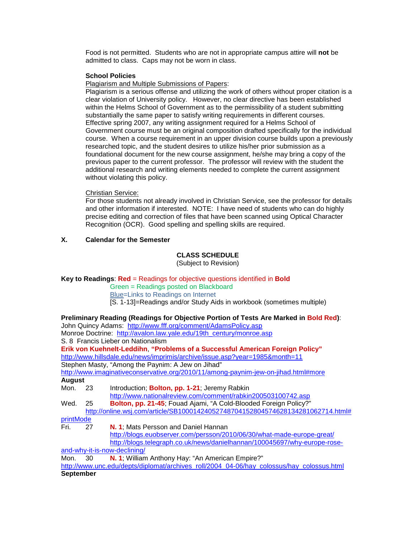Food is not permitted. Students who are not in appropriate campus attire will **not** be admitted to class. Caps may not be worn in class.

## **School Policies**

Plagiarism and Multiple Submissions of Papers:

Plagiarism is a serious offense and utilizing the work of others without proper citation is a clear violation of University policy. However, no clear directive has been established within the Helms School of Government as to the permissibility of a student submitting substantially the same paper to satisfy writing requirements in different courses. Effective spring 2007, any writing assignment required for a Helms School of Government course must be an original composition drafted specifically for the individual course. When a course requirement in an upper division course builds upon a previously researched topic, and the student desires to utilize his/her prior submission as a foundational document for the new course assignment, he/she may bring a copy of the previous paper to the current professor. The professor will review with the student the additional research and writing elements needed to complete the current assignment without violating this policy.

## Christian Service:

For those students not already involved in Christian Service, see the professor for details and other information if interested. NOTE: I have need of students who can do highly precise editing and correction of files that have been scanned using Optical Character Recognition (OCR). Good spelling and spelling skills are required.

# **X. Calendar for the Semester**

# **CLASS SCHEDULE**

(Subject to Revision)

# **Key to Readings**: **Red** = Readings for objective questions identified in **Bold**

Green = Readings posted on Blackboard Blue=Links to Readings on Internet

[S. 1-13]=Readings and/or Study Aids in workbook (sometimes multiple)

|               |    | Preliminary Reading (Readings for Objective Portion of Tests Are Marked in Bold Red): |
|---------------|----|---------------------------------------------------------------------------------------|
|               |    | John Quincy Adams: http://www.fff.org/comment/AdamsPolicy.asp                         |
|               |    | Monroe Doctrine: http://avalon.law.yale.edu/19th century/monroe.asp                   |
|               |    | S. 8 Francis Lieber on Nationalism                                                    |
|               |    | Erik von Kuehnelt-Leddihn, "Problems of a Successful American Foreign Policy"         |
|               |    | http://www.hillsdale.edu/news/imprimis/archive/issue.asp?year=1985&month=11           |
|               |    | Stephen Masty, "Among the Paynim: A Jew on Jihad"                                     |
|               |    | http://www.imaginativeconservative.org/2010/11/among-paynim-jew-on-jihad.html#more    |
| <b>August</b> |    |                                                                                       |
| Mon. 23       |    | Introduction; Bolton, pp. 1-21; Jeremy Rabkin                                         |
|               |    | http://www.nationalreview.com/comment/rabkin200503100742.asp                          |
| Wed.          | 25 | Bolton, pp. 21-45; Fouad Ajami, "A Cold-Blooded Foreign Policy?"                      |
|               |    | http://online.wsj.com/article/SB10001424052748704152804574628134281062714.html#       |
| printMode     |    |                                                                                       |
| Fri.          | 27 | N. 1; Mats Persson and Daniel Hannan                                                  |
|               |    | http://blogs.euobserver.com/persson/2010/06/30/what-made-europe-great/                |
|               |    | http://blogs.telegraph.co.uk/news/danielhannan/100045697/why-europe-rose-             |
|               |    | and-why-it-is-now-declining/                                                          |
| Mon.          | ∩ר | <b>N. 1:</b> William Anthony Hay: "An American Empire?"                               |

; william Anthony Hay: "An American I [http://www.unc.edu/depts/diplomat/archives\\_roll/2004\\_04-06/hay\\_colossus/hay\\_colossus.html](http://www.unc.edu/depts/diplomat/archives_roll/2004_04-06/hay_colossus/hay_colossus.html)

## **September**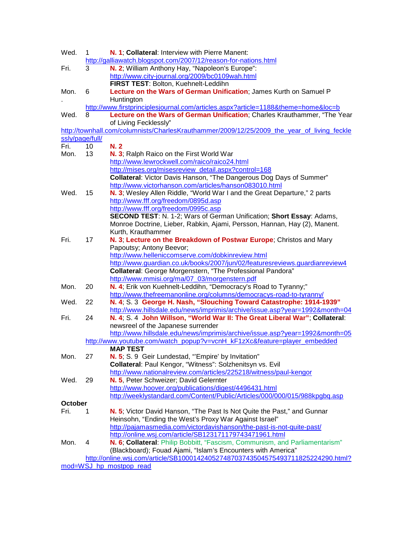| Wed.                                                                              | 1  | N. 1; Collateral: Interview with Pierre Manent:<br>http://galliawatch.blogspot.com/2007/12/reason-for-nations.html                          |  |  |  |  |
|-----------------------------------------------------------------------------------|----|---------------------------------------------------------------------------------------------------------------------------------------------|--|--|--|--|
| Fri.                                                                              | 3  | N. 2; William Anthony Hay, "Napoleon's Europe":<br>http://www.city-journal.org/2009/bc0109wah.html                                          |  |  |  |  |
|                                                                                   |    | FIRST TEST: Bolton, Kuehnelt-Leddihn                                                                                                        |  |  |  |  |
| Mon.                                                                              | 6  | Lecture on the Wars of German Unification; James Kurth on Samuel P<br>Huntington                                                            |  |  |  |  |
| http://www.firstprinciplesjournal.com/articles.aspx?article=1188&theme=home&loc=b |    |                                                                                                                                             |  |  |  |  |
| Wed.                                                                              | 8  | Lecture on the Wars of German Unification; Charles Krauthammer, "The Year<br>of Living Fecklessly"                                          |  |  |  |  |
|                                                                                   |    | http://townhall.com/columnists/CharlesKrauthammer/2009/12/25/2009_the_year_of_living_feckle                                                 |  |  |  |  |
| ssly/page/full/                                                                   |    |                                                                                                                                             |  |  |  |  |
| Fri.                                                                              | 10 | N. 2                                                                                                                                        |  |  |  |  |
| Mon.                                                                              | 13 | N. 3; Ralph Raico on the First World War                                                                                                    |  |  |  |  |
|                                                                                   |    | http://www.lewrockwell.com/raico/raico24.html                                                                                               |  |  |  |  |
|                                                                                   |    | http://mises.org/misesreview_detail.aspx?control=168                                                                                        |  |  |  |  |
|                                                                                   |    | <b>Collateral:</b> Victor Davis Hanson, "The Dangerous Dog Days of Summer"                                                                  |  |  |  |  |
|                                                                                   |    | http://www.victorhanson.com/articles/hanson083010.html                                                                                      |  |  |  |  |
| Wed.                                                                              | 15 | N. 3; Wesley Allen Riddle, "World War I and the Great Departure," 2 parts                                                                   |  |  |  |  |
|                                                                                   |    | http://www.fff.org/freedom/0895d.asp                                                                                                        |  |  |  |  |
|                                                                                   |    | http://www.fff.org/freedom/0995c.asp                                                                                                        |  |  |  |  |
|                                                                                   |    | SECOND TEST: N. 1-2; Wars of German Unification; Short Essay: Adams,                                                                        |  |  |  |  |
|                                                                                   |    | Monroe Doctrine, Lieber, Rabkin, Ajami, Persson, Hannan, Hay (2), Manent.                                                                   |  |  |  |  |
|                                                                                   |    | Kurth, Krauthammer                                                                                                                          |  |  |  |  |
| Fri.                                                                              | 17 | N. 3; Lecture on the Breakdown of Postwar Europe; Christos and Mary                                                                         |  |  |  |  |
|                                                                                   |    | Papoutsy; Antony Beevor;                                                                                                                    |  |  |  |  |
|                                                                                   |    | http://www.helleniccomserve.com/dobkinreview.html                                                                                           |  |  |  |  |
|                                                                                   |    | http://www.guardian.co.uk/books/2007/jun/02/featuresreviews.guardianreview4                                                                 |  |  |  |  |
|                                                                                   |    | Collateral: George Morgenstern, "The Professional Pandora"                                                                                  |  |  |  |  |
|                                                                                   |    |                                                                                                                                             |  |  |  |  |
| Mon.                                                                              | 20 | http://www.mmisi.org/ma/07_03/morgenstern.pdf                                                                                               |  |  |  |  |
|                                                                                   |    | N. 4; Erik von Kuehnelt-Leddihn, "Democracy's Road to Tyranny;"                                                                             |  |  |  |  |
| Wed.                                                                              | 22 | http://www.thefreemanonline.org/columns/democracys-road-to-tyranny/<br>N. 4; S. 3 George H. Nash, "Slouching Toward Catastrophe: 1914-1939" |  |  |  |  |
|                                                                                   |    |                                                                                                                                             |  |  |  |  |
|                                                                                   |    | http://www.hillsdale.edu/news/imprimis/archive/issue.asp?year=1992&month=04                                                                 |  |  |  |  |
| Fri.                                                                              | 24 | N. 4; S. 4 John Willson, "World War II: The Great Liberal War"; Collateral:                                                                 |  |  |  |  |
|                                                                                   |    | newsreel of the Japanese surrender                                                                                                          |  |  |  |  |
|                                                                                   |    | http://www.hillsdale.edu/news/imprimis/archive/issue.asp?year=1992&month=05                                                                 |  |  |  |  |
|                                                                                   |    | http://www.youtube.com/watch_popup?v=vcnH_kF1zXc&feature=player_embedded<br><b>MAP TEST</b>                                                 |  |  |  |  |
|                                                                                   |    |                                                                                                                                             |  |  |  |  |
| Mon.                                                                              | 27 | N. 5; S. 9 Geir Lundestad, "Empire' by Invitation"                                                                                          |  |  |  |  |
|                                                                                   |    | Collateral: Paul Kengor, "Witness": Solzhenitsyn vs. Evil                                                                                   |  |  |  |  |
|                                                                                   |    | http://www.nationalreview.com/articles/225218/witness/paul-kengor                                                                           |  |  |  |  |
| Wed.                                                                              | 29 | N. 5, Peter Schweizer; David Gelernter                                                                                                      |  |  |  |  |
|                                                                                   |    | http://www.hoover.org/publications/digest/4496431.html                                                                                      |  |  |  |  |
|                                                                                   |    | http://weeklystandard.com/Content/Public/Articles/000/000/015/988kpgbq.asp                                                                  |  |  |  |  |
| October                                                                           |    |                                                                                                                                             |  |  |  |  |
| Fri.                                                                              | 1  | N. 5; Victor David Hanson, "The Past Is Not Quite the Past," and Gunnar                                                                     |  |  |  |  |
|                                                                                   |    | Heinsohn, "Ending the West's Proxy War Against Israel"                                                                                      |  |  |  |  |
|                                                                                   |    | http://pajamasmedia.com/victordavishanson/the-past-is-not-quite-past/                                                                       |  |  |  |  |
|                                                                                   |    | http://online.wsj.com/article/SB123171179743471961.html                                                                                     |  |  |  |  |
| Mon.                                                                              | 4  | N. 6; Collateral: Philip Bobbitt, "Fascism, Communism, and Parliamentarism"                                                                 |  |  |  |  |
|                                                                                   |    | (Blackboard); Fouad Ajami, "Islam's Encounters with America"                                                                                |  |  |  |  |
|                                                                                   |    | http://online.wsj.com/article/SB10001424052748703743504575493711825224290.html?                                                             |  |  |  |  |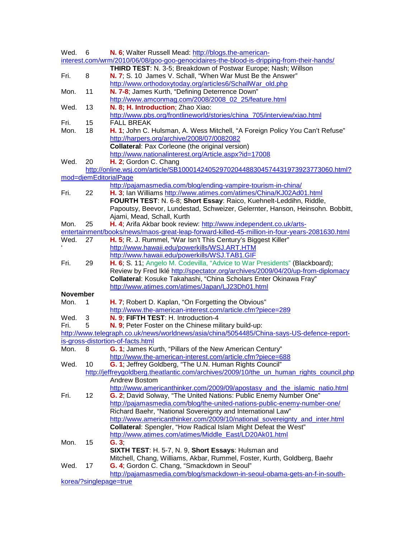| Wed.            | 6  | N. 6; Walter Russell Mead: http://blogs.the-american-                                                                     |
|-----------------|----|---------------------------------------------------------------------------------------------------------------------------|
|                 |    | interest.com/wrm/2010/06/08/goo-goo-genocidaires-the-blood-is-dripping-from-their-hands/                                  |
|                 |    | THIRD TEST: N. 3-5; Breakdown of Postwar Europe; Nash; Willson                                                            |
| Fri.            | 8  | N. 7; S. 10 James V. Schall, "When War Must Be the Answer"                                                                |
|                 |    | http://www.orthodoxytoday.org/articles6/SchallWar_old.php                                                                 |
| Mon.            | 11 | N. 7-8; James Kurth, "Defining Deterrence Down"                                                                           |
|                 |    | http://www.amconmag.com/2008/2008 02 25/feature.html                                                                      |
| Wed.            | 13 | N. 8; H. Introduction; Zhao Xiao:                                                                                         |
|                 |    | http://www.pbs.org/frontlineworld/stories/china_705/interview/xiao.html                                                   |
| Fri.            | 15 | <b>FALL BREAK</b>                                                                                                         |
| Mon.            | 18 | H. 1; John C. Hulsman, A. Wess Mitchell, "A Foreign Policy You Can't Refuse"                                              |
|                 |    | http://harpers.org/archive/2008/07/0082082                                                                                |
|                 |    | <b>Collateral:</b> Pax Corleone (the original version)                                                                    |
|                 |    | http://www.nationalinterest.org/Article.aspx?id=17008                                                                     |
| Wed.            | 20 | H. 2; Gordon C. Chang                                                                                                     |
|                 |    | http://online.wsj.com/article/SB10001424052970204488304574431973923773060.html?                                           |
|                 |    | mod=djemEditorialPage                                                                                                     |
|                 |    | http://pajamasmedia.com/blog/ending-vampire-tourism-in-china/                                                             |
| Fri.            | 22 | H. 3; Ian Williams http://www.atimes.com/atimes/China/KJ02Ad01.html                                                       |
|                 |    | FOURTH TEST: N. 6-8; Short Essay: Raico, Kuehnelt-Leddihn, Riddle,                                                        |
|                 |    | Papoutsy, Beevor, Lundestad, Schweizer, Gelernter, Hanson, Heinsohn. Bobbitt,                                             |
|                 |    | Ajami, Mead, Schall, Kurth                                                                                                |
| Mon.            | 25 | H. 4; Arifa Akbar book review: http://www.independent.co.uk/arts-                                                         |
|                 |    | entertainment/books/news/maos-great-leap-forward-killed-45-million-in-four-years-2081630.html                             |
| Wed.            | 27 | H. 5; R. J. Rummel, "War Isn't This Century's Biggest Killer"                                                             |
|                 |    | http://www.hawaii.edu/powerkills/WSJ.ART.HTM                                                                              |
|                 |    | http://www.hawaii.edu/powerkills/WSJ.TAB1.GIF                                                                             |
| Fri.            | 29 | H. 6; S. 11; Angelo M. Codevilla, "Advice to War Presidents" (Blackboard);                                                |
|                 |    |                                                                                                                           |
|                 |    | Review by Fred Iklé http://spectator.org/archives/2009/04/20/up-from-diplomacy                                            |
|                 |    | Collateral: Kosuke Takahashi, "China Scholars Enter Okinawa Fray"                                                         |
|                 |    | http://www.atimes.com/atimes/Japan/LJ23Dh01.html                                                                          |
| <b>November</b> |    |                                                                                                                           |
| Mon.            | 1  | H. 7; Robert D. Kaplan, "On Forgetting the Obvious"                                                                       |
|                 |    | http://www.the-american-interest.com/article.cfm?piece=289                                                                |
| Wed.            | 3  | N. 9; FIFTH TEST: H. Introduction-4                                                                                       |
| Fri.            | 5  | N. 9; Peter Foster on the Chinese military build-up:                                                                      |
|                 |    | http://www.telegraph.co.uk/news/worldnews/asia/china/5054485/China-says-US-defence-report-                                |
|                 |    | is-gross-distortion-of-facts.html                                                                                         |
| Mon.            | 8  | G. 1; James Kurth, "Pillars of the New American Century"                                                                  |
|                 |    | http://www.the-american-interest.com/article.cfm?piece=688                                                                |
| Wed.            | 10 | G. 1; Jeffrey Goldberg, "The U.N. Human Rights Council"                                                                   |
|                 |    | http://jeffreygoldberg.theatlantic.com/archives/2009/10/the_un_human_rights_council.php                                   |
|                 |    | <b>Andrew Bostom</b>                                                                                                      |
|                 |    | http://www.americanthinker.com/2009/09/apostasy_and_the_islamic_natio.html                                                |
| Fri.            | 12 | G. 2; David Solway, "The United Nations: Public Enemy Number One"                                                         |
|                 |    | http://pajamasmedia.com/blog/the-united-nations-public-enemy-number-one/                                                  |
|                 |    | Richard Baehr, "National Sovereignty and International Law"                                                               |
|                 |    | http://www.americanthinker.com/2009/10/national_sovereignty_and_inter.html                                                |
|                 |    |                                                                                                                           |
|                 |    | Collateral: Spengler, "How Radical Islam Might Defeat the West"<br>http://www.atimes.com/atimes/Middle_East/LD20Ak01.html |
| Mon.            | 15 | G.3;                                                                                                                      |
|                 |    | SIXTH TEST: H. 5-7, N. 9, Short Essays: Hulsman and                                                                       |
|                 |    | Mitchell, Chang, Williams, Akbar, Rummel, Foster, Kurth, Goldberg, Baehr                                                  |
| Wed.            | 17 | G. 4; Gordon C. Chang, "Smackdown in Seoul"                                                                               |
|                 |    | http://pajamasmedia.com/blog/smackdown-in-seoul-obama-gets-an-f-in-south-                                                 |